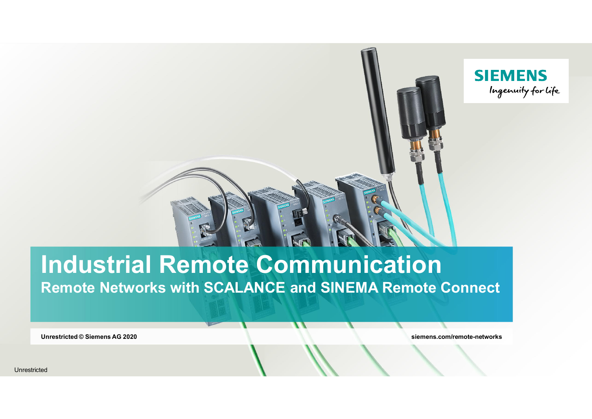

# **Industrial Remote Communication Remote Networks with SCALANCE and SINEMA Remote Connect**

**Unrestricted © Siemens AG 2020 siemens.com/remote-networks**

Unrestricted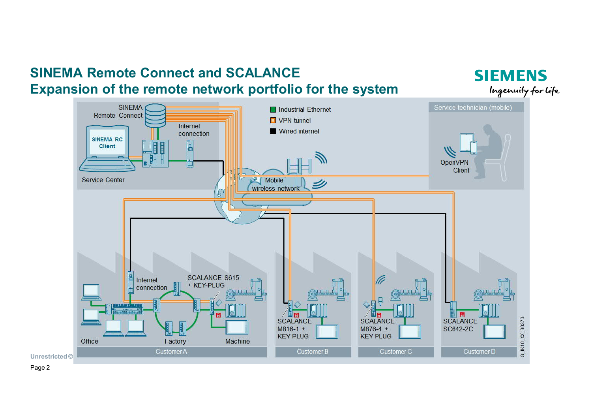## **SINEMA Remote Connect and SCALANCE Expansion of the remote network portfolio for the system**

Service technician (mobile) **SINEMA** Industrial Ethernet Remote Connect  $\Box$  VPN tunnel Internet Wired internet connection **SINEMA RC**  $\overline{B}$ Client OpenVPN m Client Service Center **Mobile** wireless network **SCALANCE S615** Internet + KEY-PLUG connection ø G\_IK10\_XX\_30370 SCALANCE **SCALANCE SCALANCE**  $M816-1 +$  $M876-4 +$ SC642-2C **KEY-PLUG KEY-PLUG** Office Factory Machine Customer A Customer D Customer B **Customer C Unrestricted** ©

**SIEMENS** 

Ingenuity for Life

Page 2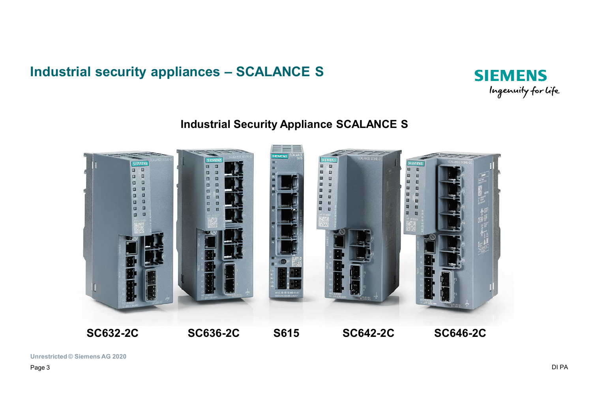## **Industrial security appliances – SCALANCE S**



## **Industrial Security Appliance SCALANCE S**



**Unrestricted © Siemens AG 2020**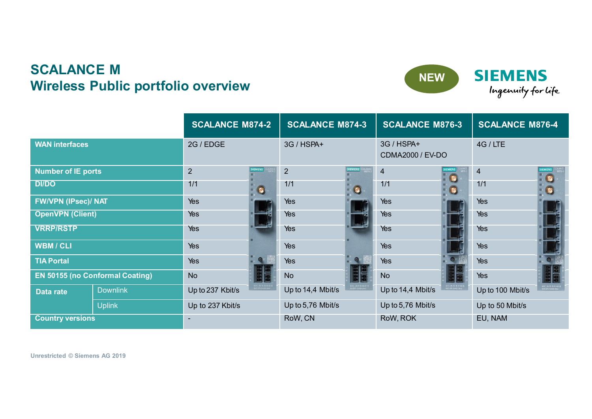## **SCALANCE M Wireless Public portfolio overview**



**SIEMENS** Ingenuity for life

|                                        |                 | <b>SCALANCE M874-2</b>   |                | <b>SCALANCE M874-3</b> |                | <b>SCALANCE M876-3</b>                |           | <b>SCALANCE M876-4</b> |                                               |
|----------------------------------------|-----------------|--------------------------|----------------|------------------------|----------------|---------------------------------------|-----------|------------------------|-----------------------------------------------|
| <b>WAN interfaces</b>                  |                 | 2G / EDGE                |                | 3G / HSPA+             |                | 3G / HSPA+<br><b>CDMA2000 / EV-DO</b> |           | 4G / LTE               |                                               |
| <b>Number of IE ports</b>              |                 | $\overline{2}$           | <b>SIEMENS</b> | $\overline{2}$         | <b>SIEMENS</b> | $\overline{4}$                        | <b>Ko</b> | $\overline{4}$         | $\bullet$                                     |
| <b>DI/DO</b>                           |                 | 1/1                      | $\bullet$      | 1/1                    | $\bullet$      | 1/1                                   |           | 1/1                    | $\bullet$                                     |
| <b>FW/VPN (IPsec)/ NAT</b>             |                 | Yes                      |                | Yes                    |                | Yes                                   |           | Yes                    |                                               |
| <b>OpenVPN (Client)</b>                |                 | Yes                      |                | Yes                    |                | Yes                                   |           | Yes                    |                                               |
| <b>VRRP/RSTP</b>                       |                 | Yes                      |                | Yes                    |                | Yes                                   |           | Yes                    |                                               |
| <b>WBM/CLI</b>                         |                 | Yes                      |                | Yes                    |                | Yes                                   |           | Yes                    |                                               |
| <b>TIA Portal</b>                      |                 | Yes                      |                | Yes                    |                | Yes                                   |           | Yes                    |                                               |
| <b>EN 50155 (no Conformal Coating)</b> |                 | <b>No</b>                | 國國             | <b>No</b>              |                | <b>No</b>                             |           | Yes                    | 国国                                            |
| Data rate                              | <b>Downlink</b> | Up to 237 Kbit/s         |                | Up to 14,4 Mbit/s      |                | Up to 14,4 Mbit/s                     |           | Up to 100 Mbit/s       | MAC: 00-18-18-81-00-28<br>5015 876 44400-2842 |
|                                        | <b>Uplink</b>   | Up to 237 Kbit/s         |                | Up to 5,76 Mbit/s      |                | Up to 5,76 Mbit/s                     |           | Up to 50 Mbit/s        |                                               |
| <b>Country versions</b>                |                 | $\overline{\phantom{a}}$ |                | RoW, CN                |                | RoW, ROK                              |           | EU, NAM                |                                               |

**Unrestricted © Siemens AG 2020 Unrestricted © Siemens AG 2019**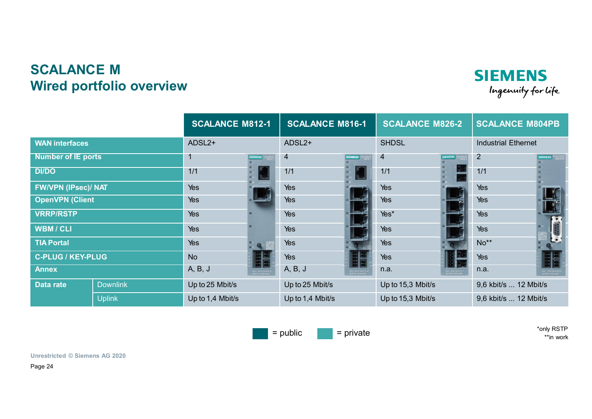## **SCALANCE M Wired portfolio overview**





\*only RSTP \*\*in work

**SIEMENS** 

Ingenuity for life

**Unrestricted © Siemens AG 2020 Unrestricted © Siemens AG 2020**

Page 24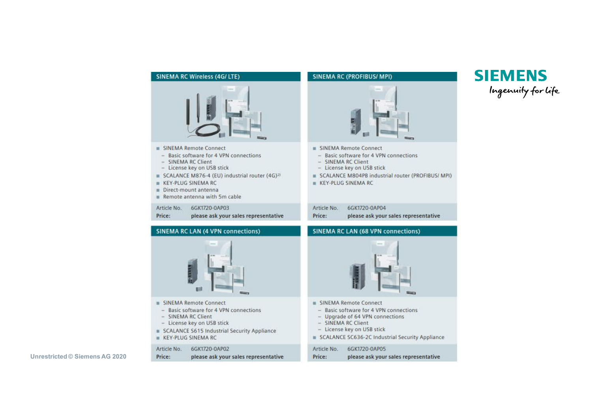### **SINEMA RC Wireless (4G/ LTE)**



- SINEMA Remote Connect
- Basic software for 4 VPN connections
- SINEMA RC Client
- License key on USB stick
- SCALANCE M876-4 (EU) industrial router (4G)<sup>27</sup>
- **KEY-PLUG SINEMA RC**
- Direct-mount antenna
- Remote antenna with 5m cable

Article No. 6GK1720-0AP03 Price: please ask your sales representative

### SINEMA Remote Connect - Basic software for 4 VPN connections - SINEMA RC Client - License key on USB stick KEY-PLUG SINEMA RC Article No. 6GK1720-0AP04 Price:

### **SINEMA RC LAN (4 VPN connections)**



- SINEMA Remote Connect
- Basic software for 4 VPN connections
- SINEMA RC Client
- License key on USB stick
- SCALANCE S615 Industrial Security Appliance
- **E** KEY-PLUG SINEMA RC

### 6GK1720-0AP02 Article No.

Price: please ask your sales representative

**SINEMA RC (PROFIBUS/ MPI)** 

- 
- SCALANCE M804PB industrial router (PROFIBUS/ MPI)

**SIEMENS** 

Ingenuity for Life

please ask your sales representative

### **SINEMA RC LAN (68 VPN connections)**



- SINEMA Remote Connect
- Basic software for 4 VPN connections
- Upgrade of 64 VPN connections
- SINEMA RC Client
- License key on USB stick
- SCALANCE SC636-2C Industrial Security Appliance

6GK1720-0AP05 Article No. Price: please ask your sales representative

**Unrestricted © Siemens AG 2020**